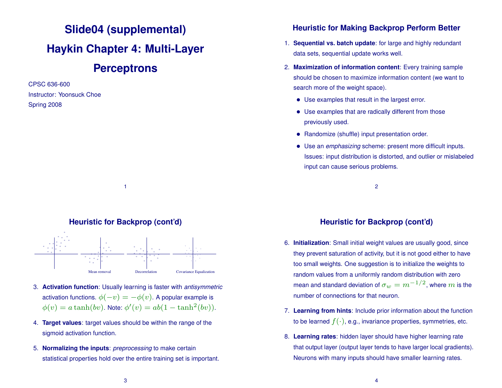# **Slide04 (supplemental) Haykin Chapter 4: Multi-Layer Perceptrons**

CPSC 636-600 Instructor: Yoonsuck Choe Spring 2008



1



- 3. **Activation function**: Usually learning is faster with *antisymmetric* activation functions.  $\phi(-v) = -\phi(v)$ . A popular example is  $\phi(v) = a \tanh(bv)$ . Note:  $\phi'(v) = ab(1 - \tanh^2(bv))$ .
- 4. **Target values**: target values should be within the range of the sigmoid activation function.
- 5. **Normalizing the inputs**: *preprocessing* to make certain statistical properties hold over the entire training set is important.

## **Heuristic for Making Backprop Perform Better**

- 1. **Sequential vs. batch update**: for large and highly redundant data sets, sequential update works well.
- 2. **Maximization of information content**: Every training sample should be chosen to maximize information content (we want to search more of the weight space).
	- Use examples that result in the largest error.
	- Use examples that are radically different from those previously used.
	- Randomize (shuffle) input presentation order.
	- Use an *emphasizing* scheme: present more difficult inputs. Issues: input distribution is distorted, and outlier or mislabeled input can cause serious problems.

2

# **Heuristic for Backprop (cont'd)**

- 6. **Initialization**: Small initial weight values are usually good, since they prevent saturation of activity, but it is not good either to have too small weights. One suggestion is to initialize the weights to random values from a uniformly random distribution with zero mean and standard deviation of  $\sigma_w = m^{-1/2}$ , where  $m$  is the number of connections for that neuron.
- 7. **Learning from hints**: Include prior information about the function to be learned  $f(\cdot)$ , e.g., invariance properties, symmetries, etc.
- 8. **Learning rates**: hidden layer should have higher learning rate that output layer (output layer tends to have larger local gradients). Neurons with many inputs should have smaller learning rates.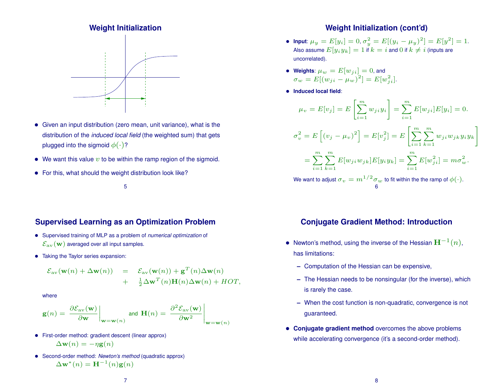#### **Weight Initialization**



- Given an input distribution (zero mean, unit variance), what is the distribution of the *induced local field* (the weighted sum) that gets plugged into the sigmoid  $\phi(\cdot)$ ?
- We want this value  $v$  to be within the ramp region of the sigmoid.
- For this, what should the weight distribution look like?

#### 5

## **Supervised Learning as an Optimization Problem**

- Supervised training of MLP as a problem of *numerical optimization* of  $\mathcal{E}_{\rm av}(\mathbf{w})$  averaged over all input samples.
- Taking the Taylor series expansion:

$$
\mathcal{E}_{av}(\mathbf{w}(n) + \Delta \mathbf{w}(n)) = \mathcal{E}_{av}(\mathbf{w}(n)) + \mathbf{g}^{T}(n)\Delta \mathbf{w}(n) + \frac{1}{2}\Delta \mathbf{w}^{T}(n)\mathbf{H}(n)\Delta \mathbf{w}(n) + HOT,
$$

where

$$
\mathbf{g}(n) = \left. \frac{\partial \mathcal{E}_{\text{av}}(\mathbf{w})}{\partial \mathbf{w}} \right|_{\mathbf{w} = \mathbf{w}(n)} \text{ and } \mathbf{H}(n) = \left. \frac{\partial^2 \mathcal{E}_{\text{av}}(\mathbf{w})}{\partial \mathbf{w}^2} \right|_{\mathbf{w} = \mathbf{w}(n)}
$$

- First-order method: gradient descent (linear approx)  $\Delta \mathbf{w}(n) = -\eta \mathbf{g}(n)$
- Second-order method: *Newton's method* (quadratic approx)  $\Delta \mathbf{w}^*(n) = \mathbf{H}^{-1}(n)\mathbf{g}(n)$

### **Weight Initialization (cont'd)**

- $\bullet$  lnput:  $\mu_y = E[y_i] = 0, \sigma_y^2 = E[(y_i \mu_y)^2] = E[y^2] = 1.$ Also assume  $E[y_i y_k] = 1$  if  $k = i$  and 0 if  $k \neq i$  (inputs are uncorrelated).
- **Weights**:  $\mu_w = E[w_{ji}] = 0$ , and  $\sigma_w = E[(w_{ji} - \mu_w)^2] = E[w_{ji}^2].$
- **Induced local field**:

$$
\mu_v = E[v_j] = E\left[\sum_{i=1}^m w_{ji} y_i\right] = \sum_{i=1}^m E[w_{ji}] E[y_i] = 0.
$$

$$
\sigma_v^2 = E\left[ (v_j - \mu_v)^2 \right] = E[v_j^2] = E\left[ \sum_{i=1}^m \sum_{k=1}^m w_{ji} w_{jk} y_i y_k \right]
$$

$$
= \sum_{i=1}^m \sum_{k=1}^m E[w_{ji} w_{jk}] E[y_i y_k] = \sum_{i=1}^m E[w_{ji}^2] = m \sigma_w^2.
$$
  
We want to adjust  $\sigma_v = m^{1/2} \sigma_w$  to fit within the the ramp of  $\phi(\cdot)$ .

#### **Conjugate Gradient Method: Introduction**

6

- Newton's method, using the inverse of the Hessian  $\mathbf{H}^{-1}(n)$ , has limitations:
	- **–** Computation of the Hessian can be expensive,
	- **–** The Hessian needs to be nonsingular (for the inverse), which is rarely the case.
	- **–** When the cost function is non-quadratic, convergence is not guaranteed.
- **Conjugate gradient method** overcomes the above problems while accelerating convergence (it's a second-order method).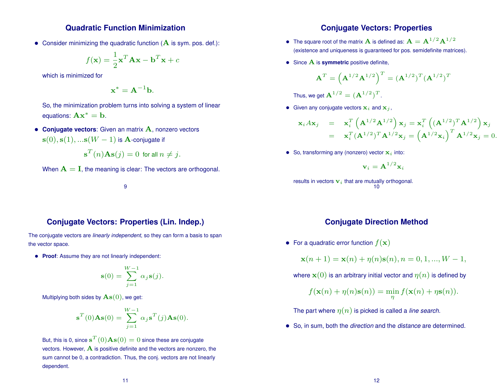#### **Quadratic Function Minimization**

• Consider minimizing the quadratic function  $(A$  is sym. pos. def.):

$$
f(\mathbf{x}) = \frac{1}{2}\mathbf{x}^T \mathbf{A} \mathbf{x} - \mathbf{b}^T \mathbf{x} + c
$$

which is minimized for

$$
\mathbf{x}^* = \mathbf{A}^{-1} \mathbf{b}.
$$

So, the minimization problem turns into solving a system of linear equations:  $\mathbf{A}\mathbf{x}^* = \mathbf{b}$ .

• **Conjugate vectors**: Given an matrix A, nonzero vectors  $\mathbf{s}(0), \mathbf{s}(1), \dots \mathbf{s}(W-1)$  is **A**-conjugate if

$$
\mathbf{s}^T(n)\mathbf{As}(j) = 0 \text{ for all } n \neq j.
$$

When  $A = I$ , the meaning is clear: The vectors are orthogonal.

9

#### **Conjugate Vectors: Properties (Lin. Indep.)**

The conjugate vectors are *linearly independent*, so they can form a basis to span the vector space.

• **Proof**: Assume they are not linearly independent:

$$
\mathbf{s}(0) = \sum_{j=1}^{W-1} \alpha_j \mathbf{s}(j).
$$

Multiplying both sides by  $\mathbf{As}(0)$ , we get:

$$
\mathbf{s}^{T}(0)\mathbf{A}\mathbf{s}(0) = \sum_{j=1}^{W-1} \alpha_{j} \mathbf{s}^{T}(j)\mathbf{A}\mathbf{s}(0).
$$

But, this is 0, since  $\mathbf{s}^T(0)\mathbf{A}\mathbf{s}(0)=0$  since these are conjugate vectors. However,  $\bf{A}$  is positive definite and the vectors are nonzero, the sum cannot be 0, a contradiction. Thus, the conj. vectors are not linearly dependent.

#### **Conjugate Vectors: Properties**

- The square root of the matrix **A** is defined as:  $A = A^{1/2}A^{1/2}$ (existence and uniqueness is guaranteed for pos. semidefinite matrices).
- Since A is **symmetric** positive definite,

$$
\mathbf{A}^T = \left(\mathbf{A}^{1/2}\mathbf{A}^{1/2}\right)^T = (\mathbf{A}^{1/2})^T (\mathbf{A}^{1/2})^T
$$

Thus, we get  $\mathbf{A}^{1/2}=(\mathbf{A}^{1/2})^T.$ 

• Given any conjugate vectors  $x_i$  and  $x_j$ ,

$$
\mathbf{x}_{i} A \mathbf{x}_{j} = \mathbf{x}_{i}^{T} (\mathbf{A}^{1/2} \mathbf{A}^{1/2}) \mathbf{x}_{j} = \mathbf{x}_{i}^{T} ((\mathbf{A}^{1/2})^{T} \mathbf{A}^{1/2}) \mathbf{x}_{j}
$$
  
=  $\mathbf{x}_{i}^{T} (\mathbf{A}^{1/2})^{T} \mathbf{A}^{1/2} \mathbf{x}_{j} = (\mathbf{A}^{1/2} \mathbf{x}_{i})^{T} \mathbf{A}^{1/2} \mathbf{x}_{j} = 0.$ 

• So, transforming any (nonzero) vector  $x_i$  into:

 ${\bf v}_i = {\bf A}^{1/2} {\bf x}_i$ 

results in vectors  $\mathbf{v}_i$  that are mutually orthogonal. 10

#### **Conjugate Direction Method**

• For a quadratic error function  $f(\mathbf{x})$ 

 $\mathbf{x}(n+1) = \mathbf{x}(n) + \eta(n)\mathbf{s}(n), n = 0, 1, ..., W - 1,$ 

where  $\mathbf{x}(0)$  is an arbitrary initial vector and  $\eta(n)$  is defined by

$$
f(\mathbf{x}(n) + \eta(n)\mathbf{s}(n)) = \min_{\eta} f(\mathbf{x}(n) + \eta \mathbf{s}(n)).
$$

The part where  $\eta(n)$  is picked is called a *line search*.

• So, in sum, both the *direction* and the *distance* are determined.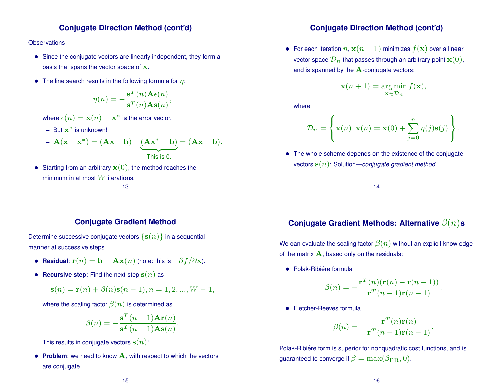### **Conjugate Direction Method (cont'd)**

#### **Observations**

- Since the conjugate vectors are linearly independent, they form a basis that spans the vector space of x.
- The line search results in the following formula for  $\eta$ :

$$
\eta(n) = -\frac{\mathbf{s}^{T}(n)\mathbf{A}\epsilon(n)}{\mathbf{s}^{T}(n)\mathbf{A}\mathbf{s}(n)},
$$

where  $\epsilon(n) = \mathbf{x}(n) - \mathbf{x}^*$  is the error vector.

**–** But x <sup>∗</sup> is unknown!

- 
$$
\mathbf{A}(\mathbf{x} - \mathbf{x}^*) = (\mathbf{A}\mathbf{x} - \mathbf{b}) - \underbrace{(\mathbf{A}\mathbf{x}^* - \mathbf{b})}_{\text{This is 0.}} = (\mathbf{A}\mathbf{x} - \mathbf{b}).
$$

• Starting from an arbitrary  $\mathbf{x}(0)$ , the method reaches the minimum in at most  $W$  iterations.

#### 13

### **Conjugate Direction Method (cont'd)**

• For each iteration  $n, \mathbf{x}(n+1)$  minimizes  $f(\mathbf{x})$  over a linear vector space  $\mathcal{D}_n$  that passes through an arbitrary point  $\mathbf{x}(0)$ , and is spanned by the  $A$ -conjugate vectors:

$$
\mathbf{x}(n+1) = \argmin_{\mathbf{x} \in \mathcal{D}_n} f(\mathbf{x}),
$$

where

$$
\mathcal{D}_n = \left\{ \mathbf{x}(n) \middle| \mathbf{x}(n) = \mathbf{x}(0) + \sum_{j=0}^n \eta(j) \mathbf{s}(j) \right\}.
$$

• The whole scheme depends on the existence of the conjugate vectors s(n): Solution—*conjugate gradient method*.

14

#### **Conjugate Gradient Method**

Determine successive conjugate vectors  $\{s(n)\}\$ in a sequential manner at successive steps.

- **Residual:**  $\mathbf{r}(n) = \mathbf{b} \mathbf{A}\mathbf{x}(n)$  (note: this is  $-\partial f/\partial \mathbf{x}$ ).
- **Recursive step**: Find the next step  $s(n)$  as

$$
\mathbf{s}(n) = \mathbf{r}(n) + \beta(n)\mathbf{s}(n-1), n = 1, 2, ..., W - 1,
$$

where the scaling factor  $\beta(n)$  is determined as

$$
\beta(n) = -\frac{\mathbf{s}^T(n-1)\mathbf{Ar}(n)}{\mathbf{s}^T(n-1)\mathbf{As}(n)}.
$$

This results in conjugate vectors  $s(n)$ !

• **Problem**: we need to know A, with respect to which the vectors are conjugate.

## **Conjugate Gradient Methods: Alternative** β(n)**s**

We can evaluate the scaling factor  $\beta(n)$  without an explicit knowledge of the matrix  $\bf{A}$ , based only on the residuals:

• Polak-Ribiére formula

$$
\beta(n) = -\frac{\mathbf{r}^T(n)(\mathbf{r}(n) - \mathbf{r}(n-1))}{\mathbf{r}^T(n-1)\mathbf{r}(n-1)}.
$$

• Fletcher-Reeves formula

$$
\beta(n) = -\frac{\mathbf{r}^T(n)\mathbf{r}(n)}{\mathbf{r}^T(n-1)\mathbf{r}(n-1)}.
$$

Polak-Ribiére form is superior for nonquadratic cost functions, and is guaranteed to converge if  $\beta = \max(\beta_{\text{PR}}, 0)$ .